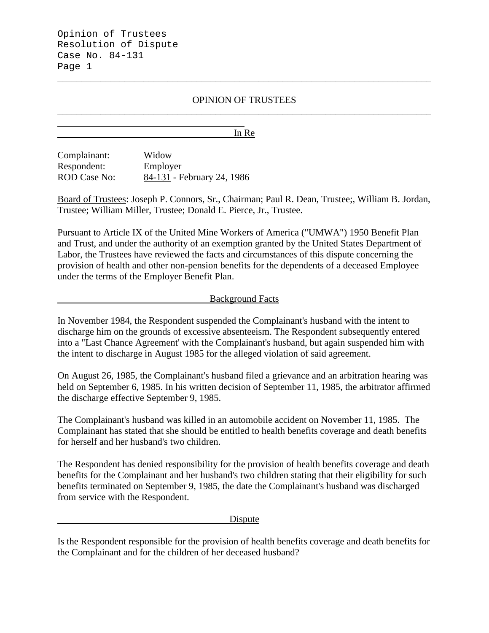## OPINION OF TRUSTEES \_\_\_\_\_\_\_\_\_\_\_\_\_\_\_\_\_\_\_\_\_\_\_\_\_\_\_\_\_\_\_\_\_\_\_\_\_\_\_\_\_\_\_\_\_\_\_\_\_\_\_\_\_\_\_\_\_\_\_\_\_\_\_\_\_\_\_\_\_\_\_\_\_\_\_\_\_\_

\_\_\_\_\_\_\_\_\_\_\_\_\_\_\_\_\_\_\_\_\_\_\_\_\_\_\_\_\_\_\_\_\_\_\_\_\_\_\_\_\_\_\_\_\_\_\_\_\_\_\_\_\_\_\_\_\_\_\_\_\_\_\_\_\_\_\_\_\_\_\_\_\_\_\_\_\_\_

In Re

Complainant: Widow Respondent: Employer ROD Case No: 84-131 - February 24, 1986

Board of Trustees: Joseph P. Connors, Sr., Chairman; Paul R. Dean, Trustee;, William B. Jordan, Trustee; William Miller, Trustee; Donald E. Pierce, Jr., Trustee.

Pursuant to Article IX of the United Mine Workers of America ("UMWA") 1950 Benefit Plan and Trust, and under the authority of an exemption granted by the United States Department of Labor, the Trustees have reviewed the facts and circumstances of this dispute concerning the provision of health and other non-pension benefits for the dependents of a deceased Employee under the terms of the Employer Benefit Plan.

### Background Facts

In November 1984, the Respondent suspended the Complainant's husband with the intent to discharge him on the grounds of excessive absenteeism. The Respondent subsequently entered into a "Last Chance Agreement' with the Complainant's husband, but again suspended him with the intent to discharge in August 1985 for the alleged violation of said agreement.

On August 26, 1985, the Complainant's husband filed a grievance and an arbitration hearing was held on September 6, 1985. In his written decision of September 11, 1985, the arbitrator affirmed the discharge effective September 9, 1985.

The Complainant's husband was killed in an automobile accident on November 11, 1985. The Complainant has stated that she should be entitled to health benefits coverage and death benefits for herself and her husband's two children.

The Respondent has denied responsibility for the provision of health benefits coverage and death benefits for the Complainant and her husband's two children stating that their eligibility for such benefits terminated on September 9, 1985, the date the Complainant's husband was discharged from service with the Respondent.

Dispute

Is the Respondent responsible for the provision of health benefits coverage and death benefits for the Complainant and for the children of her deceased husband?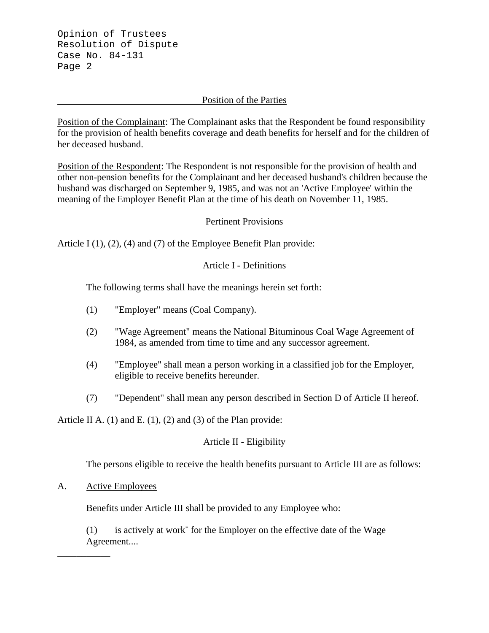### Position of the Parties

Position of the Complainant: The Complainant asks that the Respondent be found responsibility for the provision of health benefits coverage and death benefits for herself and for the children of her deceased husband.

Position of the Respondent: The Respondent is not responsible for the provision of health and other non-pension benefits for the Complainant and her deceased husband's children because the husband was discharged on September 9, 1985, and was not an 'Active Employee' within the meaning of the Employer Benefit Plan at the time of his death on November 11, 1985.

### Pertinent Provisions

Article I (1), (2), (4) and (7) of the Employee Benefit Plan provide:

# Article I - Definitions

The following terms shall have the meanings herein set forth:

- (1) "Employer" means (Coal Company).
- (2) "Wage Agreement" means the National Bituminous Coal Wage Agreement of 1984, as amended from time to time and any successor agreement.
- (4) "Employee" shall mean a person working in a classified job for the Employer, eligible to receive benefits hereunder.
- (7) "Dependent" shall mean any person described in Section D of Article II hereof.

Article II A. (1) and E. (1), (2) and (3) of the Plan provide:

# Article II - Eligibility

The persons eligible to receive the health benefits pursuant to Article III are as follows:

### A. Active Employees

\_\_\_\_\_\_\_\_\_\_\_

Benefits under Article III shall be provided to any Employee who:

(1) is actively at work\* for the Employer on the effective date of the Wage Agreement....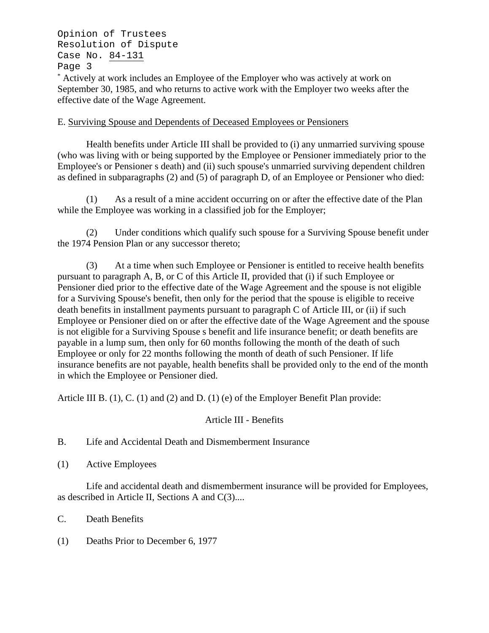\* Actively at work includes an Employee of the Employer who was actively at work on September 30, 1985, and who returns to active work with the Employer two weeks after the effective date of the Wage Agreement.

### E. Surviving Spouse and Dependents of Deceased Employees or Pensioners

Health benefits under Article III shall be provided to (i) any unmarried surviving spouse (who was living with or being supported by the Employee or Pensioner immediately prior to the Employee's or Pensioner s death) and (ii) such spouse's unmarried surviving dependent children as defined in subparagraphs (2) and (5) of paragraph D, of an Employee or Pensioner who died:

(1) As a result of a mine accident occurring on or after the effective date of the Plan while the Employee was working in a classified job for the Employer;

(2) Under conditions which qualify such spouse for a Surviving Spouse benefit under the 1974 Pension Plan or any successor thereto;

(3) At a time when such Employee or Pensioner is entitled to receive health benefits pursuant to paragraph A, B, or C of this Article II, provided that (i) if such Employee or Pensioner died prior to the effective date of the Wage Agreement and the spouse is not eligible for a Surviving Spouse's benefit, then only for the period that the spouse is eligible to receive death benefits in installment payments pursuant to paragraph C of Article III, or (ii) if such Employee or Pensioner died on or after the effective date of the Wage Agreement and the spouse is not eligible for a Surviving Spouse s benefit and life insurance benefit; or death benefits are payable in a lump sum, then only for 60 months following the month of the death of such Employee or only for 22 months following the month of death of such Pensioner. If life insurance benefits are not payable, health benefits shall be provided only to the end of the month in which the Employee or Pensioner died.

Article III B. (1), C. (1) and (2) and D. (1) (e) of the Employer Benefit Plan provide:

# Article III - Benefits

# B. Life and Accidental Death and Dismemberment Insurance

(1) Active Employees

Life and accidental death and dismemberment insurance will be provided for Employees, as described in Article II, Sections A and C(3)....

C. Death Benefits

(1) Deaths Prior to December 6, 1977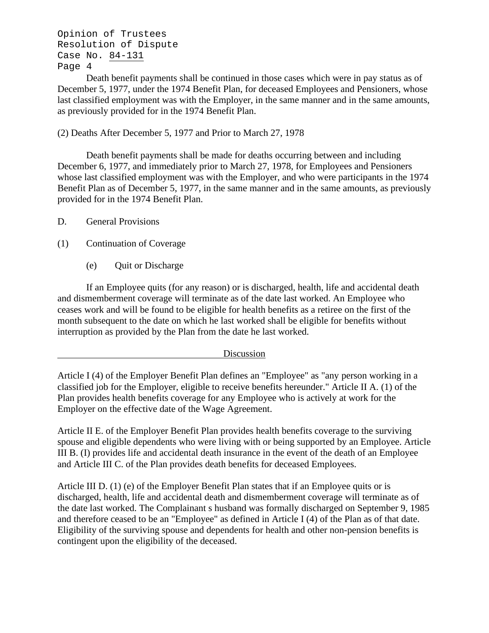Death benefit payments shall be continued in those cases which were in pay status as of December 5, 1977, under the 1974 Benefit Plan, for deceased Employees and Pensioners, whose last classified employment was with the Employer, in the same manner and in the same amounts, as previously provided for in the 1974 Benefit Plan.

(2) Deaths After December 5, 1977 and Prior to March 27, 1978

Death benefit payments shall be made for deaths occurring between and including December 6, 1977, and immediately prior to March 27, 1978, for Employees and Pensioners whose last classified employment was with the Employer, and who were participants in the 1974 Benefit Plan as of December 5, 1977, in the same manner and in the same amounts, as previously provided for in the 1974 Benefit Plan.

- D. General Provisions
- (1) Continuation of Coverage
	- (e) Quit or Discharge

If an Employee quits (for any reason) or is discharged, health, life and accidental death and dismemberment coverage will terminate as of the date last worked. An Employee who ceases work and will be found to be eligible for health benefits as a retiree on the first of the month subsequent to the date on which he last worked shall be eligible for benefits without interruption as provided by the Plan from the date he last worked.

#### Discussion

Article I (4) of the Employer Benefit Plan defines an "Employee" as "any person working in a classified job for the Employer, eligible to receive benefits hereunder." Article II A. (1) of the Plan provides health benefits coverage for any Employee who is actively at work for the Employer on the effective date of the Wage Agreement.

Article II E. of the Employer Benefit Plan provides health benefits coverage to the surviving spouse and eligible dependents who were living with or being supported by an Employee. Article III B. (I) provides life and accidental death insurance in the event of the death of an Employee and Article III C. of the Plan provides death benefits for deceased Employees.

Article III D. (1) (e) of the Employer Benefit Plan states that if an Employee quits or is discharged, health, life and accidental death and dismemberment coverage will terminate as of the date last worked. The Complainant s husband was formally discharged on September 9, 1985 and therefore ceased to be an "Employee" as defined in Article I (4) of the Plan as of that date. Eligibility of the surviving spouse and dependents for health and other non-pension benefits is contingent upon the eligibility of the deceased.